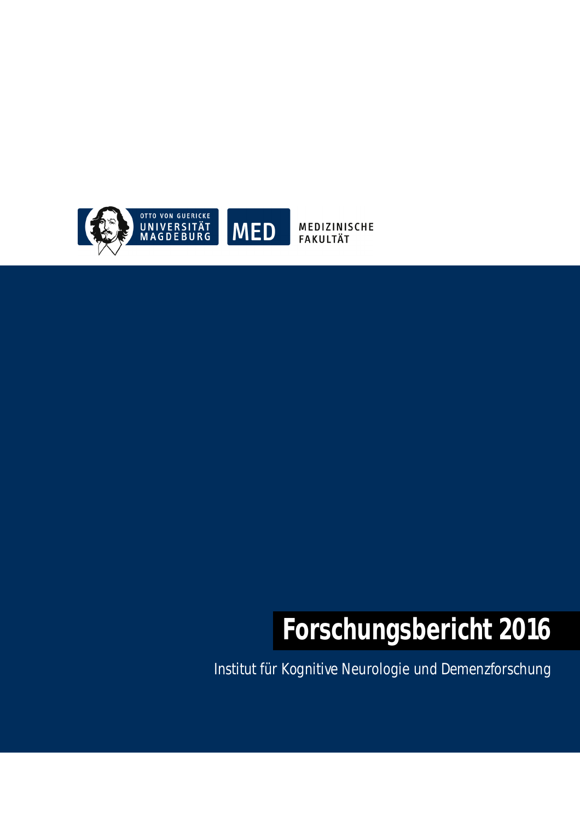

MEDIZINISCHE **FAKULTÄT** 

# **Forschungsbericht 2016**

Institut für Kognitive Neurologie und Demenzforschung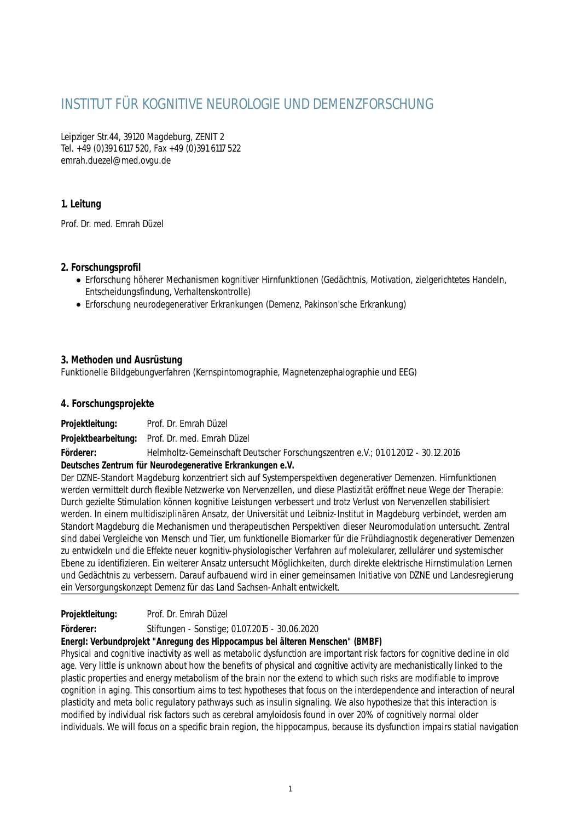# INSTITUT FÜR KOGNITIVE NEUROLOGIE UND DEMENZFORSCHUNG

Leipziger Str.44, 39120 Magdeburg, ZENIT 2 Tel. +49 (0)391 6117 520, Fax +49 (0)391 6117 522 emrah.duezel@med.ovgu.de

# **1. Leitung**

Prof. Dr. med. Emrah Düzel

# **2. Forschungsprofil**

- Erforschung höherer Mechanismen kognitiver Hirnfunktionen (Gedächtnis, Motivation, zielgerichtetes Handeln, Entscheidungsfindung, Verhaltenskontrolle)
- Erforschung neurodegenerativer Erkrankungen (Demenz, Pakinson'sche Erkrankung)

# **3. Methoden und Ausrüstung**

Funktionelle Bildgebungverfahren (Kernspintomographie, Magnetenzephalographie und EEG)

# **4. Forschungsprojekte**

**Projektleitung:** Prof. Dr. Emrah Düzel **Projektbearbeitung:** Prof. Dr. med. Emrah Düzel

**Förderer:** Helmholtz-Gemeinschaft Deutscher Forschungszentren e.V.; 01.01.2012 - 30.12.2016

#### **Deutsches Zentrum für Neurodegenerative Erkrankungen e.V.**

Der DZNE-Standort Magdeburg konzentriert sich auf Systemperspektiven degenerativer Demenzen. Hirnfunktionen werden vermittelt durch flexible Netzwerke von Nervenzellen, und diese Plastizität eröffnet neue Wege der Therapie: Durch gezielte Stimulation können kognitive Leistungen verbessert und trotz Verlust von Nervenzellen stabilisiert werden. In einem multidisziplinären Ansatz, der Universität und Leibniz-Institut in Magdeburg verbindet, werden am Standort Magdeburg die Mechanismen und therapeutischen Perspektiven dieser Neuromodulation untersucht. Zentral sind dabei Vergleiche von Mensch und Tier, um funktionelle Biomarker für die Frühdiagnostik degenerativer Demenzen zu entwickeln und die Effekte neuer kognitiv-physiologischer Verfahren auf molekularer, zellulärer und systemischer Ebene zu identifizieren. Ein weiterer Ansatz untersucht Möglichkeiten, durch direkte elektrische Hirnstimulation Lernen und Gedächtnis zu verbessern. Darauf aufbauend wird in einer gemeinsamen Initiative von DZNE und Landesregierung ein Versorgungskonzept Demenz für das Land Sachsen-Anhalt entwickelt.

# **Projektleitung:** Prof. Dr. Emrah Düzel

**Förderer:** Stiftungen - Sonstige; 01.07.2015 - 30.06.2020

#### **EnergI: Verbundprojekt "Anregung des Hippocampus bei älteren Menschen" (BMBF)**

Physical and cognitive inactivity as well as metabolic dysfunction are important risk factors for cognitive decline in old age. Very little is unknown about how the benefits of physical and cognitive activity are mechanistically linked to the plastic properties and energy metabolism of the brain nor the extend to which such risks are modifiable to improve cognition in aging. This consortium aims to test hypotheses that focus on the interdependence and interaction of neural plasticity and meta bolic regulatory pathways such as insulin signaling. We also hypothesize that this interaction is modified by individual risk factors such as cerebral amyloidosis found in over 20% of cognitively normal older individuals. We will focus on a specific brain region, the hippocampus, because its dysfunction impairs statial navigation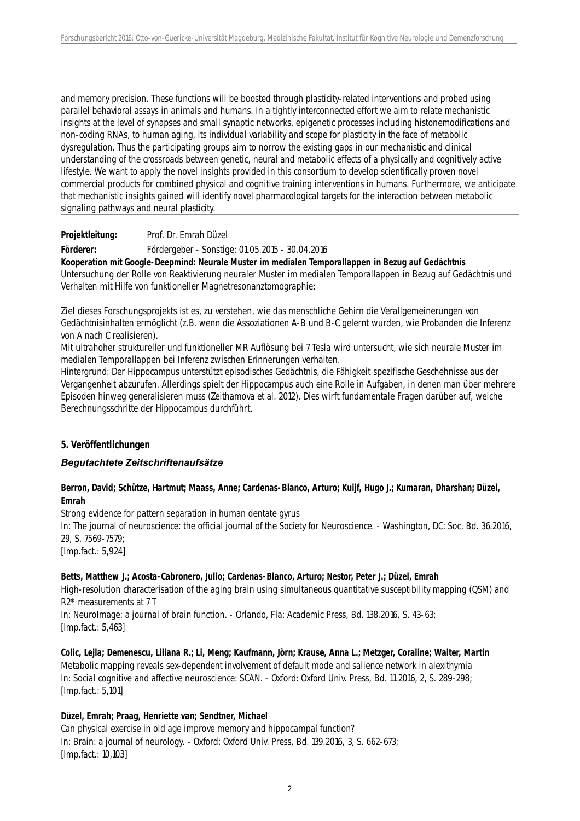and memory precision. These functions will be boosted through plasticity-related interventions and probed using parallel behavioral assays in animals and humans. In a tightly interconnected effort we aim to relate mechanistic insights at the level of synapses and small synaptic networks, epigenetic processes including histonemodifications and non-coding RNAs, to human aging, its individual variability and scope for plasticity in the face of metabolic dysregulation. Thus the participating groups aim to norrow the existing gaps in our mechanistic and clinical understanding of the crossroads between genetic, neural and metabolic effects of a physically and cognitively active lifestyle. We want to apply the novel insights provided in this consortium to develop scientifically proven novel commercial products for combined physical and cognitive training interventions in humans. Furthermore, we anticipate that mechanistic insights gained will identify novel pharmacological targets for the interaction between metabolic signaling pathways and neural plasticity.

**Projektleitung:** Prof. Dr. Emrah Düzel

**Förderer:** Fördergeber - Sonstige; 01.05.2015 - 30.04.2016

**Kooperation mit Google-Deepmind: Neurale Muster im medialen Temporallappen in Bezug auf Gedächtnis** Untersuchung der Rolle von Reaktivierung neuraler Muster im medialen Temporallappen in Bezug auf Gedächtnis und Verhalten mit Hilfe von funktioneller Magnetresonanztomographie:

Ziel dieses Forschungsprojekts ist es, zu verstehen, wie das menschliche Gehirn die Verallgemeinerungen von Gedächtnisinhalten ermöglicht (z.B. wenn die Assoziationen A-B und B-C gelernt wurden, wie Probanden die Inferenz von A nach C realisieren).

Mit ultrahoher struktureller und funktioneller MR Auflösung bei 7 Tesla wird untersucht, wie sich neurale Muster im medialen Temporallappen bei Inferenz zwischen Erinnerungen verhalten.

Hintergrund: Der Hippocampus unterstützt episodisches Gedächtnis, die Fähigkeit spezifische Geschehnisse aus der Vergangenheit abzurufen. Allerdings spielt der Hippocampus auch eine Rolle in Aufgaben, in denen man über mehrere Episoden hinweg generalisieren muss (Zeithamova et al. 2012). Dies wirft fundamentale Fragen darüber auf, welche Berechnungsschritte der Hippocampus durchführt.

#### **5. Veröffentlichungen**

#### *Begutachtete Zeitschriftenaufsätze*

#### **Berron, David; Schütze, Hartmut; Maass, Anne; Cardenas-Blanco, Arturo; Kuijf, Hugo J.; Kumaran, Dharshan; Düzel, Emrah**

Strong evidence for pattern separation in human dentate gyrus

In: The journal of neuroscience: the official journal of the Society for Neuroscience. - Washington, DC: Soc, Bd. 36.2016, 29, S. 7569-7579;

[Imp.fact.: 5,924]

#### **Betts, Matthew J.; Acosta-Cabronero, Julio; Cardenas-Blanco, Arturo; Nestor, Peter J.; Düzel, Emrah**

High-resolution characterisation of the aging brain using simultaneous quantitative susceptibility mapping (QSM) and R2\* measurements at 7 T

In: NeuroImage: a journal of brain function. - Orlando, Fla: Academic Press, Bd. 138.2016, S. 43-63; [Imp.fact.: 5,463]

**Colic, Lejla; Demenescu, Liliana R.; Li, Meng; Kaufmann, Jörn; Krause, Anna L.; Metzger, Coraline; Walter, Martin** Metabolic mapping reveals sex-dependent involvement of default mode and salience network in alexithymia In: Social cognitive and affective neuroscience: SCAN. - Oxford: Oxford Univ. Press, Bd. 11.2016, 2, S. 289-298; [Imp.fact.: 5,101]

#### **Düzel, Emrah; Praag, Henriette van; Sendtner, Michael**

Can physical exercise in old age improve memory and hippocampal function? In: Brain: a journal of neurology. - Oxford: Oxford Univ. Press, Bd. 139.2016, 3, S. 662-673; [Imp.fact.: 10,103]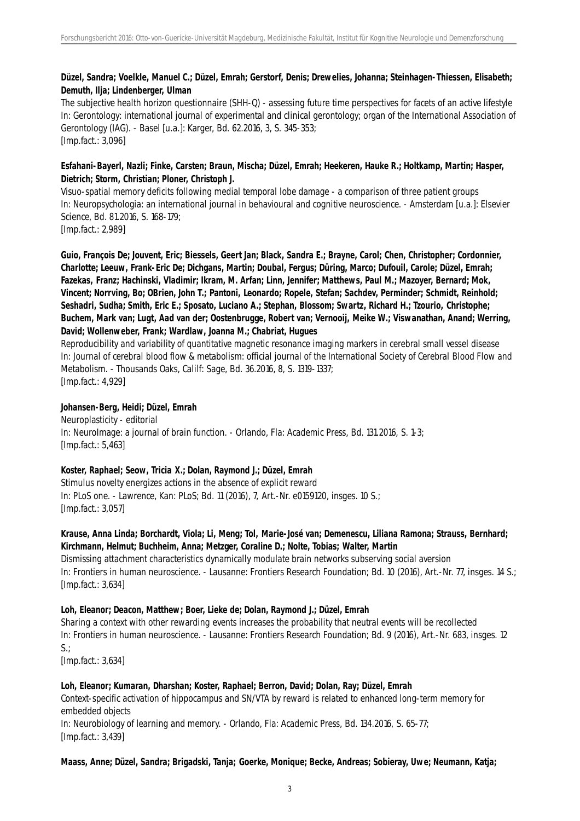### **Düzel, Sandra; Voelkle, Manuel C.; Düzel, Emrah; Gerstorf, Denis; Drewelies, Johanna; Steinhagen-Thiessen, Elisabeth; Demuth, Ilja; Lindenberger, Ulman**

The subjective health horizon questionnaire (SHH-Q) - assessing future time perspectives for facets of an active lifestyle In: Gerontology: international journal of experimental and clinical gerontology; organ of the International Association of Gerontology (IAG). - Basel [u.a.]: Karger, Bd. 62.2016, 3, S. 345-353; [Imp.fact.: 3,096]

#### **Esfahani-Bayerl, Nazli; Finke, Carsten; Braun, Mischa; Düzel, Emrah; Heekeren, Hauke R.; Holtkamp, Martin; Hasper, Dietrich; Storm, Christian; Ploner, Christoph J.**

Visuo-spatial memory deficits following medial temporal lobe damage - a comparison of three patient groups In: Neuropsychologia: an international journal in behavioural and cognitive neuroscience. - Amsterdam [u.a.]: Elsevier Science, Bd. 81.2016, S. 168-179;

[Imp.fact.: 2,989]

**Guio, François De; Jouvent, Eric; Biessels, Geert Jan; Black, Sandra E.; Brayne, Carol; Chen, Christopher; Cordonnier, Charlotte; Leeuw, Frank-Eric De; Dichgans, Martin; Doubal, Fergus; Düring, Marco; Dufouil, Carole; Düzel, Emrah; Fazekas, Franz; Hachinski, Vladimir; Ikram, M. Arfan; Linn, Jennifer; Matthews, Paul M.; Mazoyer, Bernard; Mok, Vincent; Norrving, Bo; OBrien, John T.; Pantoni, Leonardo; Ropele, Stefan; Sachdev, Perminder; Schmidt, Reinhold; Seshadri, Sudha; Smith, Eric E.; Sposato, Luciano A.; Stephan, Blossom; Swartz, Richard H.; Tzourio, Christophe; Buchem, Mark van; Lugt, Aad van der; Oostenbrugge, Robert van; Vernooij, Meike W.; Viswanathan, Anand; Werring, David; Wollenweber, Frank; Wardlaw, Joanna M.; Chabriat, Hugues**

Reproducibility and variability of quantitative magnetic resonance imaging markers in cerebral small vessel disease In: Journal of cerebral blood flow & metabolism: official journal of the International Society of Cerebral Blood Flow and Metabolism. - Thousands Oaks, Calilf: Sage, Bd. 36.2016, 8, S. 1319-1337;

[Imp.fact.: 4,929]

#### **Johansen-Berg, Heidi; Düzel, Emrah**

Neuroplasticity - editorial In: NeuroImage: a journal of brain function. - Orlando, Fla: Academic Press, Bd. 131.2016, S. 1-3; [Imp.fact.: 5,463]

#### **Koster, Raphael; Seow, Tricia X.; Dolan, Raymond J.; Düzel, Emrah**

Stimulus novelty energizes actions in the absence of explicit reward In: PLoS one. - Lawrence, Kan: PLoS; Bd. 11 (2016), 7, Art.-Nr. e0159120, insges. 10 S.; [Imp.fact.: 3,057]

#### **Krause, Anna Linda; Borchardt, Viola; Li, Meng; Tol, Marie-José van; Demenescu, Liliana Ramona; Strauss, Bernhard; Kirchmann, Helmut; Buchheim, Anna; Metzger, Coraline D.; Nolte, Tobias; Walter, Martin**

Dismissing attachment characteristics dynamically modulate brain networks subserving social aversion In: Frontiers in human neuroscience. - Lausanne: Frontiers Research Foundation; Bd. 10 (2016), Art.-Nr. 77, insges. 14 S.; [Imp.fact.: 3,634]

#### **Loh, Eleanor; Deacon, Matthew; Boer, Lieke de; Dolan, Raymond J.; Düzel, Emrah**

Sharing a context with other rewarding events increases the probability that neutral events will be recollected In: Frontiers in human neuroscience. - Lausanne: Frontiers Research Foundation; Bd. 9 (2016), Art.-Nr. 683, insges. 12  $S$ .:

[Imp.fact.: 3,634]

#### **Loh, Eleanor; Kumaran, Dharshan; Koster, Raphael; Berron, David; Dolan, Ray; Düzel, Emrah**

Context-specific activation of hippocampus and SN/VTA by reward is related to enhanced long-term memory for embedded objects

In: Neurobiology of learning and memory. - Orlando, Fla: Academic Press, Bd. 134.2016, S. 65-77; [Imp.fact.: 3,439]

#### **Maass, Anne; Düzel, Sandra; Brigadski, Tanja; Goerke, Monique; Becke, Andreas; Sobieray, Uwe; Neumann, Katja;**